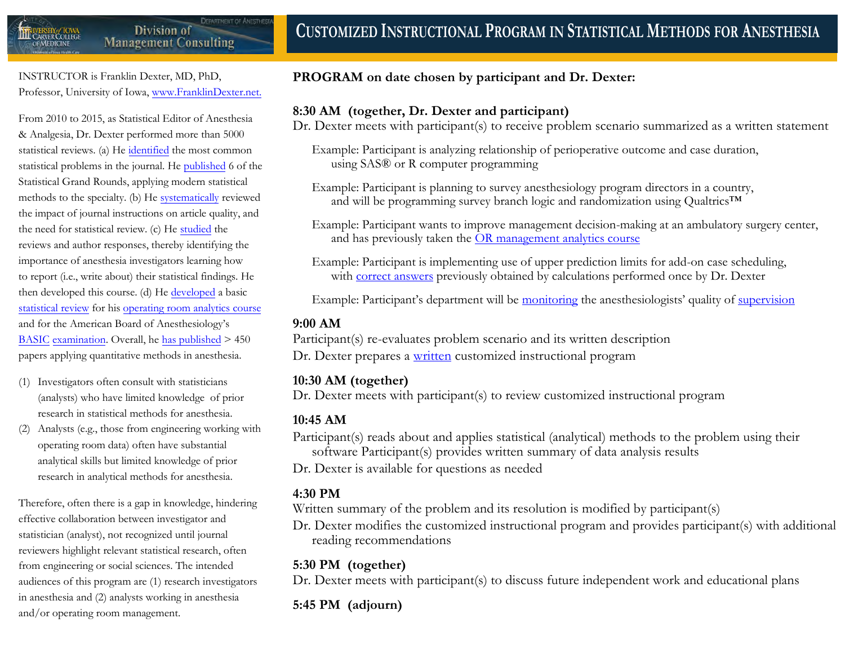

**DEPARTMENT OF ANESTHE** 

INSTRUCTOR is Franklin Dexter, MD, PhD, Professor, University of Iowa, [www.FranklinDexter.net.](https://www.FranklinDexter.net)

From 2010 to 2015, as Statistical Editor of Anesthesia & Analgesia, Dr. Dexter performed more than 5000 statistical reviews. (a) He [identified](http://journals.lww.com/anesthesia-analgesia/pages/articleviewer.aspx?year=2011&issue=08000&article=00003&type=Fulltext) the most common statistical problems in the journal. He [published](https://www.franklindexter.net/PDF_Files/cv.pdf) 6 of the Statistical Grand Rounds, applying modern statistical methods to the specialty. (b) He [systematically](http://www.anesthesia-analgesia.org/content/124/3/943.full.pdf+HTML) reviewed the impact of journal instructions on article quality, and the need for statistical review. (c) He [studied](https://doi.org/10.1097/PTS.0000000000000391) the reviews and author responses, thereby identifying the importance of anesthesia investigators learning how to report (i.e., write about) their statistical findings. He then developed this course. (d) He [developed](http://www.tandfonline.com/doi/pdf/10.1080/10691898.2010.11889588) a basic [statistical review](https://www.franklindexter.net/Lectures/Statistics.pdf) for his [operating room analytics course](https://www.franklindexter.net/PDF_Files/SurgicalServicesCourse.pdf) and for the American Board of Anesthesiology's BASIC [examination.](https://theaba.org/pdfs/Initial_Certification_Content_Outline.pdf#page=8) Overall, he [has published](https://www.franklindexter.net/PDF_Files/cv.pdf) > 450 papers applying quantitative methods in anesthesia.

- (1) Investigators often consult with statisticians (analysts) who have limited knowledge of prior research in statistical methods for anesthesia.
- (2) Analysts (e.g., those from engineering working with operating room data) often have substantial analytical skills but limited knowledge of prior research in analytical methods for anesthesia.

Therefore, often there is a gap in knowledge, hindering effective collaboration between investigator and statistician (analyst), not recognized until journal reviewers highlight relevant statistical research, often from engineering or social sciences. The intended audiences of this program are (1) research investigators in anesthesia and (2) analysts working in anesthesia and/or operating room management.

#### **PROGRAM on date chosen by participant and Dr. Dexter:**

#### **8:30 AM (together, Dr. Dexter and participant)**

Dr. Dexter meets with participant(s) to receive problem scenario summarized as a written statement

- Example: Participant is analyzing relationship of perioperative outcome and case duration, using SAS® or R computer programming
- Example: Participant is planning to survey anesthesiology program directors in a country, and will be programming survey branch logic and randomization using Qualtrics™
- Example: Participant wants to improve management decision-making at an ambulatory surgery center, and has previously taken the [OR management analytics course](https://www.franklindexter.net/PDF_Files/SurgicalServicesCourse.pdf)
- Example: Participant is implementing use of upper prediction limits for add-on case scheduling, with [correct answers](https://www.franklindexter.net/consulting.htm) previously obtained by calculations performed once by Dr. Dexter

Example: Participant's department will be [monitoring](https://www.franklindexter.net/Lectures/Supervision.pdf) the anesthesiologists' quality of [supervision](https://www.ncbi.nlm.nih.gov/pubmed/26197377)

#### **9:00 AM**

Participant(s) re-evaluates problem scenario and its written description Dr. Dexter prepares a [written](https://www.ncbi.nlm.nih.gov/pubmed/26287297) customized instructional program

## **10:30 AM (together)**

Dr. Dexter meets with participant(s) to review customized instructional program

# **10:45 AM**

Participant(s) reads about and applies statistical (analytical) methods to the problem using their software Participant(s) provides written summary of data analysis results Dr. Dexter is available for questions as needed

## **4:30 PM**

Written summary of the problem and its resolution is modified by participant(s)

Dr. Dexter modifies the customized instructional program and provides participant(s) with additional reading recommendations

## **5:30 PM (together)**

Dr. Dexter meets with participant(s) to discuss future independent work and educational plans

# **5:45 PM (adjourn)**